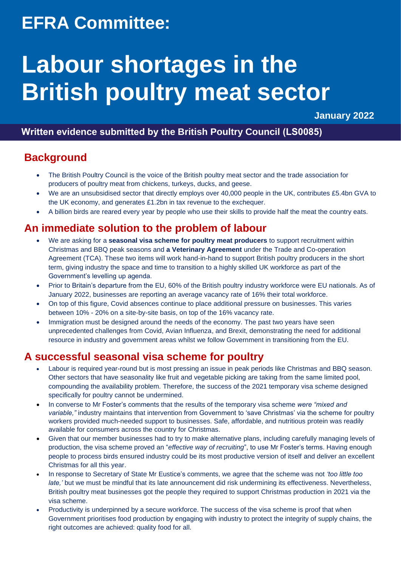## **EFRA Committee:**

# **Labour shortages in the British poultry meat sector**

**January 2022** 

## **Written evidence submitted by the British Poultry Council (LS0085)**

## **Background**

- The British Poultry Council is the voice of the British poultry meat sector and the trade association for producers of poultry meat from chickens, turkeys, ducks, and geese.
- We are an unsubsidised sector that directly employs over 40,000 people in the UK, contributes £5.4bn GVA to the UK economy, and generates £1.2bn in tax revenue to the exchequer.
- A billion birds are reared every year by people who use their skills to provide half the meat the country eats.

## **An immediate solution to the problem of labour**

- We are asking for a **seasonal visa scheme for poultry meat producers** to support recruitment within Christmas and BBQ peak seasons and **a Veterinary Agreement** under the Trade and Co-operation Agreement (TCA). These two items will work hand-in-hand to support British poultry producers in the short term, giving industry the space and time to transition to a highly skilled UK workforce as part of the Government's levelling up agenda.
- Prior to Britain's departure from the EU, 60% of the British poultry industry workforce were EU nationals. As of January 2022, businesses are reporting an average vacancy rate of 16% their total workforce.
- On top of this figure, Covid absences continue to place additional pressure on businesses. This varies between 10% - 20% on a site-by-site basis, on top of the 16% vacancy rate.
- Immigration must be designed around the needs of the economy. The past two years have seen unprecedented challenges from Covid, Avian Influenza, and Brexit, demonstrating the need for additional resource in industry and government areas whilst we follow Government in transitioning from the EU.

## **A successful seasonal visa scheme for poultry**

- Labour is required year-round but is most pressing an issue in peak periods like Christmas and BBQ season. Other sectors that have seasonality like fruit and vegetable picking are taking from the same limited pool, compounding the availability problem. Therefore, the success of the 2021 temporary visa scheme designed specifically for poultry cannot be undermined.
- In converse to Mr Foster's comments that the results of the temporary visa scheme *were "mixed and variable,"* industry maintains that intervention from Government to 'save Christmas' via the scheme for poultry workers provided much-needed support to businesses. Safe, affordable, and nutritious protein was readily available for consumers across the country for Christmas.
- Given that our member businesses had to try to make alternative plans, including carefully managing levels of production, the visa scheme proved an "*effective way of recruiting*", to use Mr Foster's terms. Having enough people to process birds ensured industry could be its most productive version of itself and deliver an excellent Christmas for all this year.
- In response to Secretary of State Mr Eustice's comments, we agree that the scheme was not *'too little too late,'* but we must be mindful that its late announcement did risk undermining its effectiveness. Nevertheless, British poultry meat businesses got the people they required to support Christmas production in 2021 via the visa scheme.
- Productivity is underpinned by a secure workforce. The success of the visa scheme is proof that when Government prioritises food production by engaging with industry to protect the integrity of supply chains, the right outcomes are achieved: quality food for all.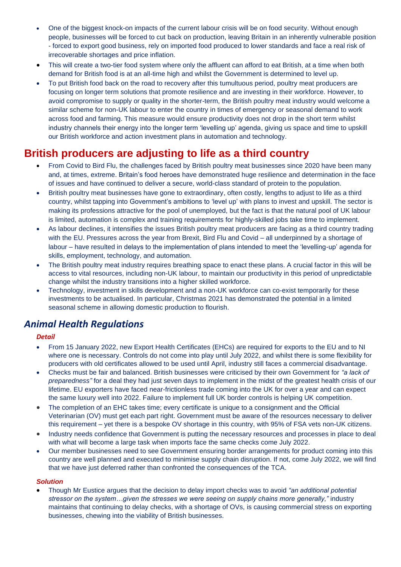- One of the biggest knock-on impacts of the current labour crisis will be on food security. Without enough people, businesses will be forced to cut back on production, leaving Britain in an inherently vulnerable position - forced to export good business, rely on imported food produced to lower standards and face a real risk of irrecoverable shortages and price inflation.
- This will create a two-tier food system where only the affluent can afford to eat British, at a time when both demand for British food is at an all-time high and whilst the Government is determined to level up.
- To put British food back on the road to recovery after this tumultuous period, poultry meat producers are focusing on longer term solutions that promote resilience and are investing in their workforce. However, to avoid compromise to supply or quality in the shorter-term, the British poultry meat industry would welcome a similar scheme for non-UK labour to enter the country in times of emergency or seasonal demand to work across food and farming. This measure would ensure productivity does not drop in the short term whilst industry channels their energy into the longer term 'levelling up' agenda, giving us space and time to upskill our British workforce and action investment plans in automation and technology.

## **British producers are adjusting to life as a third country**

- From Covid to Bird Flu, the challenges faced by British poultry meat businesses since 2020 have been many and, at times, extreme. Britain's food heroes have demonstrated huge resilience and determination in the face of issues and have continued to deliver a secure, world-class standard of protein to the population.
- British poultry meat businesses have gone to extraordinary, often costly, lengths to adjust to life as a third country, whilst tapping into Government's ambitions to 'level up' with plans to invest and upskill. The sector is making its professions attractive for the pool of unemployed, but the fact is that the natural pool of UK labour is limited, automation is complex and training requirements for highly-skilled jobs take time to implement.
- As labour declines, it intensifies the issues British poultry meat producers are facing as a third country trading with the EU. Pressures across the year from Brexit, Bird Flu and Covid – all underpinned by a shortage of labour – have resulted in delays to the implementation of plans intended to meet the 'levelling-up' agenda for skills, employment, technology, and automation.
- The British poultry meat industry requires breathing space to enact these plans. A crucial factor in this will be access to vital resources, including non-UK labour, to maintain our productivity in this period of unpredictable change whilst the industry transitions into a higher skilled workforce.
- Technology, investment in skills development and a non-UK workforce can co-exist temporarily for these investments to be actualised. In particular, Christmas 2021 has demonstrated the potential in a limited seasonal scheme in allowing domestic production to flourish.

### *Animal Health Regulations*

#### *Detail*

- From 15 January 2022, new Export Health Certificates (EHCs) are required for exports to the EU and to NI where one is necessary. Controls do not come into play until July 2022, and whilst there is some flexibility for producers with old certificates allowed to be used until April, industry still faces a commercial disadvantage.
- Checks must be fair and balanced. British businesses were criticised by their own Government for *"a lack of preparedness"* for a deal they had just seven days to implement in the midst of the greatest health crisis of our lifetime. EU exporters have faced near-frictionless trade coming into the UK for over a year and can expect the same luxury well into 2022. Failure to implement full UK border controls is helping UK competition.
- The completion of an EHC takes time; every certificate is unique to a consignment and the Official Veterinarian (OV) must get each part right. Government must be aware of the resources necessary to deliver this requirement – yet there is a bespoke OV shortage in this country, with 95% of FSA vets non-UK citizens.
- Industry needs confidence that Government is putting the necessary resources and processes in place to deal with what will become a large task when imports face the same checks come July 2022.
- Our member businesses need to see Government ensuring border arrangements for product coming into this country are well planned and executed to minimise supply chain disruption. If not, come July 2022, we will find that we have just deferred rather than confronted the consequences of the TCA.

#### *Solution*

• Though Mr Eustice argues that the decision to delay import checks was to avoid *"an additional potential stressor on the system…given the stresses we were seeing on supply chains more generally,"* industry maintains that continuing to delay checks, with a shortage of OVs, is causing commercial stress on exporting businesses, chewing into the viability of British businesses.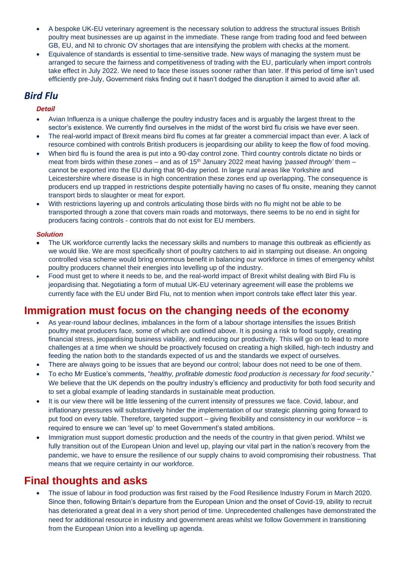- A bespoke UK-EU veterinary agreement is the necessary solution to address the structural issues British poultry meat businesses are up against in the immediate. These range from trading food and feed between GB, EU, and NI to chronic OV shortages that are intensifying the problem with checks at the moment.
- Equivalence of standards is essential to time-sensitive trade. New ways of managing the system must be arranged to secure the fairness and competitiveness of trading with the EU, particularly when import controls take effect in July 2022. We need to face these issues sooner rather than later. If this period of time isn't used efficiently pre-July, Government risks finding out it hasn't dodged the disruption it aimed to avoid after all.

## *Bird Flu*

#### *Detail*

- Avian Influenza is a unique challenge the poultry industry faces and is arguably the largest threat to the sector's existence. We currently find ourselves in the midst of the worst bird flu crisis we have ever seen.
- The real-world impact of Brexit means bird flu comes at far greater a commercial impact than ever. A lack of resource combined with controls British producers is jeopardising our ability to keep the flow of food moving.
- When bird flu is found the area is put into a 90-day control zone. Third country controls dictate no birds or meat from birds within these zones – and as of 15<sup>th</sup> January 2022 meat having *'passed through'* them – cannot be exported into the EU during that 90-day period. In large rural areas like Yorkshire and Leicestershire where disease is in high concentration these zones end up overlapping. The consequence is producers end up trapped in restrictions despite potentially having no cases of flu onsite, meaning they cannot transport birds to slaughter or meat for export.
- With restrictions layering up and controls articulating those birds with no flu might not be able to be transported through a zone that covers main roads and motorways, there seems to be no end in sight for producers facing controls - controls that do not exist for EU members.

#### *Solution*

- The UK workforce currently lacks the necessary skills and numbers to manage this outbreak as efficiently as we would like. We are most specifically short of poultry catchers to aid in stamping out disease. An ongoing controlled visa scheme would bring enormous benefit in balancing our workforce in times of emergency whilst poultry producers channel their energies into levelling up of the industry.
- Food must get to where it needs to be, and the real-world impact of Brexit whilst dealing with Bird Flu is jeopardising that. Negotiating a form of mutual UK-EU veterinary agreement will ease the problems we currently face with the EU under Bird Flu, not to mention when import controls take effect later this year.

## **Immigration must focus on the changing needs of the economy**

- As year-round labour declines, imbalances in the form of a labour shortage intensifies the issues British poultry meat producers face, some of which are outlined above. It is posing a risk to food supply, creating financial stress, jeopardising business viability, and reducing our productivity. This will go on to lead to more challenges at a time when we should be proactively focused on creating a high skilled, high-tech industry and feeding the nation both to the standards expected of us and the standards we expect of ourselves.
- There are always going to be issues that are beyond our control; labour does not need to be one of them.
- To echo Mr Eustice's comments, "*healthy, profitable domestic food production is necessary for food security*." We believe that the UK depends on the poultry industry's efficiency and productivity for both food security and to set a global example of leading standards in sustainable meat production.
- It is our view there will be little lessening of the current intensity of pressures we face. Covid, labour, and inflationary pressures will substantively hinder the implementation of our strategic planning going forward to put food on every table. Therefore, targeted support – giving flexibility and consistency in our workforce – is required to ensure we can 'level up' to meet Government's stated ambitions.
- Immigration must support domestic production and the needs of the country in that given period. Whilst we fully transition out of the European Union and level up, playing our vital part in the nation's recovery from the pandemic, we have to ensure the resilience of our supply chains to avoid compromising their robustness. That means that we require certainty in our workforce.

## **Final thoughts and asks**

• The issue of labour in food production was first raised by the Food Resilience Industry Forum in March 2020. Since then, following Britain's departure from the European Union and the onset of Covid-19, ability to recruit has deteriorated a great deal in a very short period of time. Unprecedented challenges have demonstrated the need for additional resource in industry and government areas whilst we follow Government in transitioning from the European Union into a levelling up agenda.